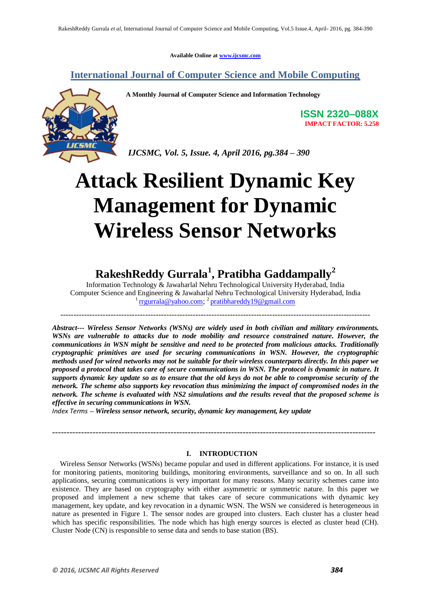**Available Online at [www.ijcsmc.com](http://www.ijcsmc.com/)**

### **International Journal of Computer Science and Mobile Computing**



**A Monthly Journal of Computer Science and Information Technology**

**ISSN 2320–088X IMPACT FACTOR: 5.258**

*IJCSMC, Vol. 5, Issue. 4, April 2016, pg.384 – 390*

# **Attack Resilient Dynamic Key Management for Dynamic Wireless Sensor Networks**

## **RakeshReddy Gurrala<sup>1</sup> , Pratibha Gaddampally<sup>2</sup>**

Information Technology & Jawaharlal Nehru Technological University Hyderabad, India Computer Science and Engineering & Jawaharlal Nehru Technological University Hyderabad, India <sup>1</sup> [rrgurrala@yahoo.com;](mailto:rrgurrala@yahoo.com) <sup>2</sup> [pratibhareddy19@gmail.com](mailto:pratibhareddy19@gmail.com)

---------------------------------------------------------------------------------------------------------------------

*Abstract--- Wireless Sensor Networks (WSNs) are widely used in both civilian and military environments. WSNs are vulnerable to attacks due to node mobility and resource constrained nature. However, the communications in WSN might be sensitive and need to be protected from malicious attacks. Traditionally cryptographic primitives are used for securing communications in WSN. However, the cryptographic methods used for wired networks may not be suitable for their wireless counterparts directly. In this paper we proposed a protocol that takes care of secure communications in WSN. The protocol is dynamic in nature. It supports dynamic key update so as to ensure that the old keys do not be able to compromise security of the network. The scheme also supports key revocation thus minimizing the impact of compromised nodes in the network. The scheme is evaluated with NS2 simulations and the results reveal that the proposed scheme is effective in securing communications in WSN.* 

*Index Terms – Wireless sensor network, security, dynamic key management, key update*

#### **I. INTRODUCTION**

----------------------------------------------------------------------------------------------------------------

Wireless Sensor Networks (WSNs) became popular and used in different applications. For instance, it is used for monitoring patients, monitoring buildings, monitoring environments, surveillance and so on. In all such applications, securing communications is very important for many reasons. Many security schemes came into existence. They are based on cryptography with either asymmetric or symmetric nature. In this paper we proposed and implement a new scheme that takes care of secure communications with dynamic key management, key update, and key revocation in a dynamic WSN. The WSN we considered is heterogeneous in nature as presented in Figure 1. The sensor nodes are grouped into clusters. Each cluster has a cluster head which has specific responsibilities. The node which has high energy sources is elected as cluster head (CH). Cluster Node (CN) is responsible to sense data and sends to base station (BS).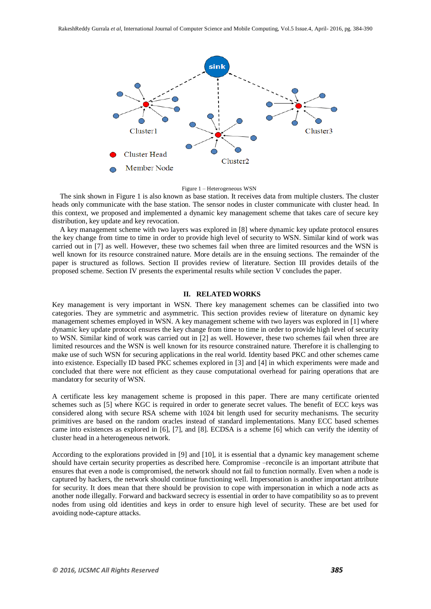



The sink shown in Figure 1 is also known as base station. It receives data from multiple clusters. The cluster heads only communicate with the base station. The sensor nodes in cluster communicate with cluster head. In this context, we proposed and implemented a dynamic key management scheme that takes care of secure key distribution, key update and key revocation.

A key management scheme with two layers was explored in [8] where dynamic key update protocol ensures the key change from time to time in order to provide high level of security to WSN. Similar kind of work was carried out in [7] as well. However, these two schemes fail when three are limited resources and the WSN is well known for its resource constrained nature. More details are in the ensuing sections. The remainder of the paper is structured as follows. Section II provides review of literature. Section III provides details of the proposed scheme. Section IV presents the experimental results while section V concludes the paper.

#### **II. RELATED WORKS**

Key management is very important in WSN. There key management schemes can be classified into two categories. They are symmetric and asymmetric. This section provides review of literature on dynamic key management schemes employed in WSN. A key management scheme with two layers was explored in [1] where dynamic key update protocol ensures the key change from time to time in order to provide high level of security to WSN. Similar kind of work was carried out in [2] as well. However, these two schemes fail when three are limited resources and the WSN is well known for its resource constrained nature. Therefore it is challenging to make use of such WSN for securing applications in the real world. Identity based PKC and other schemes came into existence. Especially ID based PKC schemes explored in [3] and [4] in which experiments were made and concluded that there were not efficient as they cause computational overhead for pairing operations that are mandatory for security of WSN.

A certificate less key management scheme is proposed in this paper. There are many certificate oriented schemes such as [5] where KGC is required in order to generate secret values. The benefit of ECC keys was considered along with secure RSA scheme with 1024 bit length used for security mechanisms. The security primitives are based on the random oracles instead of standard implementations. Many ECC based schemes came into existences as explored in [6], [7], and [8]. ECDSA is a scheme [6] which can verify the identity of cluster head in a heterogeneous network.

According to the explorations provided in [9] and [10], it is essential that a dynamic key management scheme should have certain security properties as described here. Compromise –reconcile is an important attribute that ensures that even a node is compromised, the network should not fail to function normally. Even when a node is captured by hackers, the network should continue functioning well. Impersonation is another important attribute for security. It does mean that there should be provision to cope with impersonation in which a node acts as another node illegally. Forward and backward secrecy is essential in order to have compatibility so as to prevent nodes from using old identities and keys in order to ensure high level of security. These are bet used for avoiding node-capture attacks.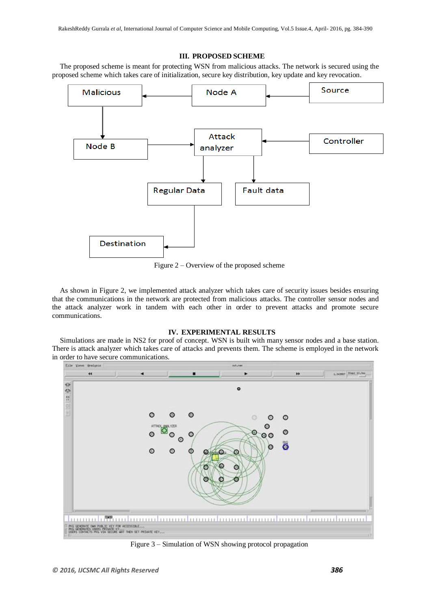#### **III. PROPOSED SCHEME**

The proposed scheme is meant for protecting WSN from malicious attacks. The network is secured using the proposed scheme which takes care of initialization, secure key distribution, key update and key revocation.



Figure 2 – Overview of the proposed scheme

As shown in Figure 2, we implemented attack analyzer which takes care of security issues besides ensuring that the communications in the network are protected from malicious attacks. The controller sensor nodes and the attack analyzer work in tandem with each other in order to prevent attacks and promote secure communications.

#### **IV. EXPERIMENTAL RESULTS**

Simulations are made in NS2 for proof of concept. WSN is built with many sensor nodes and a base station. There is attack analyzer which takes care of attacks and prevents them. The scheme is employed in the network in order to have secure communications.



Figure 3 – Simulation of WSN showing protocol propagation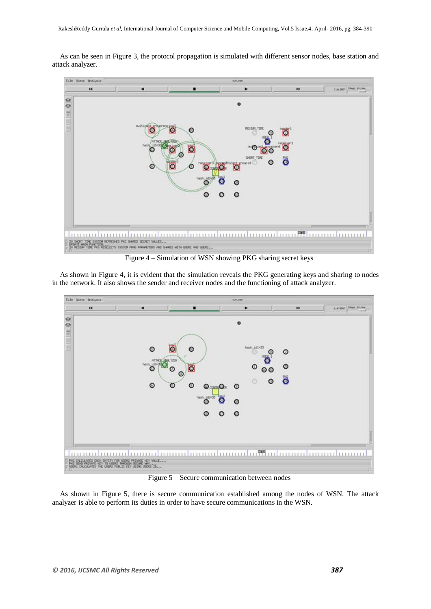As can be seen in Figure 3, the protocol propagation is simulated with different sensor nodes, base station and attack analyzer.



Figure 4 – Simulation of WSN showing PKG sharing secret keys

As shown in Figure 4, it is evident that the simulation reveals the PKG generating keys and sharing to nodes in the network. It also shows the sender and receiver nodes and the functioning of attack analyzer.



Figure 5 – Secure communication between nodes

As shown in Figure 5, there is secure communication established among the nodes of WSN. The attack analyzer is able to perform its duties in order to have secure communications in the WSN.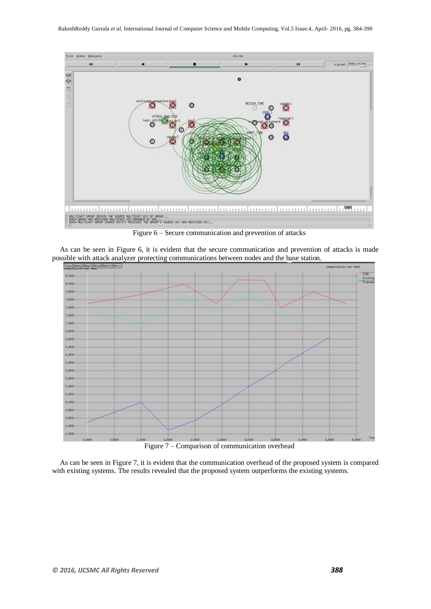

Figure 6 – Secure communication and prevention of attacks

As can be seen in Figure 6, it is evident that the secure communication and prevention of attacks is made possible with attack analyzer protecting communications between nodes and the base station.



As can be seen in Figure 7, it is evident that the communication overhead of the proposed system is compared with existing systems. The results revealed that the proposed system outperforms the existing systems.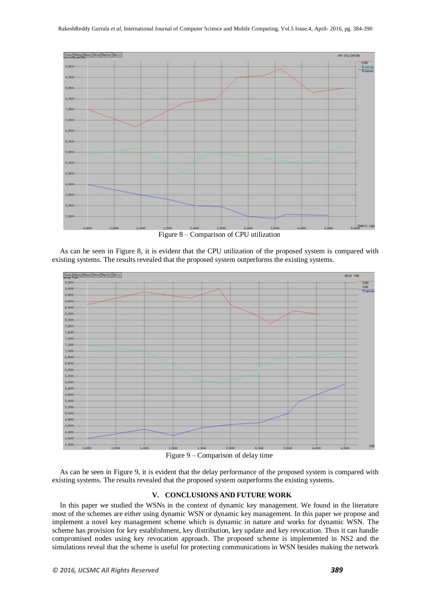

Figure 8 – Comparison of CPU utilization

As can be seen in Figure 8, it is evident that the CPU utilization of the proposed system is compared with existing systems. The results revealed that the proposed system outperforms the existing systems.



Figure 9 – Comparison of delay time

As can be seen in Figure 9, it is evident that the delay performance of the proposed system is compared with existing systems. The results revealed that the proposed system outperforms the existing systems.

#### **V. CONCLUSIONS AND FUTURE WORK**

In this paper we studied the WSNs in the context of dynamic key management. We found in the literature most of the schemes are either using dynamic WSN or dynamic key management. In this paper we propose and implement a novel key management scheme which is dynamic in nature and works for dynamic WSN. The scheme has provision for key establishment, key distribution, key update and key revocation. Thus it can handle compromised nodes using key revocation approach. The proposed scheme is implemented in NS2 and the simulations reveal that the scheme is useful for protecting communications in WSN besides making the network